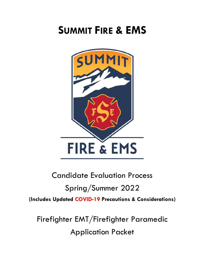# **SUMMIT FIRE & EMS**



# Candidate Evaluation Process Spring/Summer 2022 **(Includes Updated COVID-19 Precautions & Considerations)**

Firefighter EMT/Firefighter Paramedic Application Packet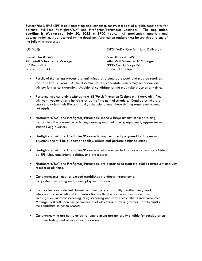Summit Fire & EMS (SFE) is now accepting applications to construct a pool of eligible candidates for potential Full-Time Firefighter/EMT and Firefighter/Paramedic vacancies. **The application deadline is Wednesday, July 20, 2022 at 1700 hours.** All application materials and documentation must be received by the deadline. Application packets must be submitted to one of the following addresses:

(US Mail): (UPS/FedEx/Courier/Hand Delivery):

Summit Fire & EMS Summit Fire & EMS Attn: Matt Scheer – HR Manager National Attn: Matt Scheer – HR Manager PO Box 4910 **DETECT 10035 County Shops Rd.** Frisco, CO 80443 Frisco, CO 80443

- Results of the testing process are maintained as a candidate pool, and may be retained for up to two (2) years. At the discretion of SFE, candidate results may be discarded without further consideration. Additional candidate testing may take place at any time.
- Personnel are currently assigned to a 48/96 shift rotation (2 days on, 4 days off). You will work weekends and holidays as part of the normal schedule. Candidates who are unable to adjust their life and family schedule to meet these shifting requirements need not apply.
- Firefighters/EMT and Firefighter/Paramedic spend a large amount of time training, performing fire prevention activities, cleaning and maintaining equipment, apparatus and station living quarters.
- Firefighters/EMT and Firefighter/Paramedic may be directly exposed to dangerous situations and will be expected to follow orders and perform assigned duties.
- Firefighters/EMT and Firefighter/Paramedic will be expected to follow orders and abide by SFE rules, regulations, policies, and procedures.
- Firefighters/EMT and Firefighter/Paramedic are expected to treat the public courteously and with respect at all times.
- Candidates must meet or exceed established standards throughout a comprehensive testing and pre-employment process.
- Candidates are selected based on their physical ability, written test, oral interview (communication skills), education (both fire and non-fire), background investigation, medical screening, drug screening and references. The Human Resources Manager will call upon line personnel, chief officers and training center staff to assist in the candidate selection process.
- Candidates who are not selected for employment are generally eligible for consideration at future testing and other posted vacancies.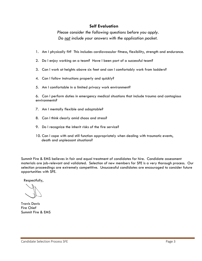### **Self Evaluation**

*Please consider the following questions before you apply. Do not include your answers with the application packet.*

- 1. Am I physically fit? This includes cardiovascular fitness, flexibility, strength and endurance.
- 2. Do I enjoy working on a team? Have I been part of a successful team?
- 3. Can I work at heights above six feet and can I comfortably work from ladders?
- 4. Can I follow instructions properly and quickly?
- 5. Am I comfortable in a limited privacy work environment?

6. Can I perform duties in emergency medical situations that include trauma and contagious environments?

- 7. Am I mentally flexible and adaptable?
- 8. Can I think clearly amid chaos and stress?
- 9. Do I recognize the inherit risks of the fire service?
- 10. Can I cope with and still function appropriately when dealing with traumatic events, death and unpleasant situations?

Summit Fire & EMS believes in fair and equal treatment of candidates for hire. Candidate assessment materials are job-relevant and validated. Selection of new members for SFE is a very thorough process. Our selection proceedings are extremely competitive. Unsuccessful candidates are encouraged to consider future opportunities with SFE.

Respectfully,

Travis Davis Fire Chief Summit Fire & EMS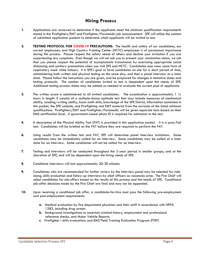# **Hiring Process**

- **1.** Applications are reviewed to determine if the applicants meet the minimum qualification requirements stated in the Firefighters/EMT and Firefighter/Paramedic job announcement. SFE will utilize the content of submitted application packets to determine which applicants will be invited to test.
- **2. TESTING PROTOCOL FOR COVID-19 PRECAUTIONS:** The health and safety of our candidates, our current employees, and High Country Training Center (HCTC) employees is of paramount importance during this process. Please respect the safety needs of others and decline your invitation if you are experiencing any symptoms. Even though we will not ask you to present your vaccination status, we ask that you please respect the potential of asymptomatic transmission by exercising appropriate social distancing and sanitary precautions when you visit SFE and HCTC. Candidates *may* wear some form of respiratory mask while indoors. It is SFE's goal to have candidates on-site for a short period of time, administering both written and physical testing on the same day, and then a panel interview at a later date. Please follow the instructions you are given, and be prepared for changes in tentative dates and testing protocols. The number of candidates invited to test is dependent upon the needs of SFE. Additional testing process dates may be added as needed to evaluate the current pool of applicants.
- **3.** The written exam is administered to all invited candidates. The examination is approximately 1  $\frac{1}{2}$ hours in length. It consists of a multiple-choice aptitude test that may include measures of mechanical ability, reading/writing ability, basic math skills, knowledge of the SFE District, information contained in this packet, the SFE website, and Firefighting and EMT material from the curricula of the listed minimum qualifications. Firefighters/EMT and Firefighter/Paramedic will be given separate tests based on their EMS certification level. A government-issued photo ID is required for admission to the test.
- **4.** A description of the Physical Ability Test (PAT) is provided in this application packet. It is a pass/fail test. Candidates will be briefed on the PAT before they are required to perform the PAT.
- **6.** Using results from the written test and PAT, SFE will determine panel interview invitations. Some candidates may be immediately called for an interview. Some candidates may be called at a later date for an interview. Some candidates will not be called for an interview.
- **7.** Testing and interviews will be conducted throughout the 2-year period in smaller groups, and at the discretion of SFE, and will be dependent upon the hiring needs of SFE.
- **8.** Candidate interviews will last approximately 20-30 minutes.
- **9.** Candidates who are recommended for further review by the interview panel may be selected for ridealong, skills evaluation and follow-up interviews by chief officers as vacancies arise. The Fire Chief will select candidates for job-offers based on the results of this process and the needs of SFE. Conditional job-offer decisions made by the Fire Chief are final and may not be appealed.
- **10.** Upon receiving a conditional job offer, a candidate-for-hire must pass the following pre-employment and post-employment requirements:
	- **a.** Medical evaluation by fire department physician and their staff in accordance with NFPA 1582, including drug screen.
	- **b.** Background investigations to ascertain criminal history, employment and professional reference checks**,** and Motor Vehicle Reports.
	- **c.** Firefighter I skills evaluations and EMS Field Training Evaluation Program (FTEP)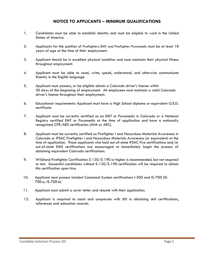### **NOTICE TO APPLICANTS – MINIMUM QUALIFICATIONS**

- 1. Candidates must be able to establish identity and must be eligible to work in the United States of America.
- 2. Applicants for the position of Firefighters/EMT and Firefighter/Paramedic must be at least 18 years of age at the time of their employment.
- 3. Applicant should be in excellent physical condition and must maintain their physical fitness throughout employment.
- 4. Applicant must be able to read, write, speak, understand, and otherwise communicate fluently in the English language.
- 5. Applicant must possess, or be eligible obtain a Colorado driver's license within 30 days of the beginning of employment. All employees must maintain a valid Colorado driver's license throughout their employment.
- 6. Educational requirements: Applicant must have a High School diploma or equivalent G.E.D. certificate.
- 7. Applicant must be currently certified as an EMT or Paramedic in Colorado or a National Registry certified EMT or Paramedic at the time of application and have a nationally recognized CPR/AED certification (AHA or ARC).
- 8. Applicant must be currently certified as Firefighter I and Hazardous Materials Awareness in Colorado or IFSAC Firefighter I and Hazardous Materials Awareness (or equivalent) at the time of application. Those applicants who hold out-of-state IFSAC Fire certifications and/or out-of-state EMS certifications are encouraged to immediately begin the process of obtaining equivalent Colorado certifications.
- 9. Wildland Firefighter Certification S-130/S-190 or higher is recommended, but not required to test. Successful candidates without S-130/S-190 certification will be required to obtain this certification upon hire.
- 10. Applicant must possess Incident Command System certifications I-200 and IS-700 (IS-700.a, IS-700.b)
- 11. Applicant must submit a cover letter and résumé with their application.
- 12. Applicant is required to assist and cooperate with SFE in obtaining skill certifications, references and education records.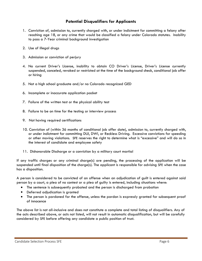## **Potential Disqualifiers for Applicants**

- 1. Conviction of, admission to, currently charged with, or under indictment for committing a felony after reaching age 18, or any crime that would be classified a felony under Colorado statutes. Inability to pass a 7-Year criminal background investigation
- 2. Use of illegal drugs
- 3. Admission or conviction of perjury
- 4. No current Driver's License, inability to obtain CO Driver's License, Driver's License currently suspended, canceled, revoked or restricted at the time of the background check, conditional job offer or hiring
- 5. Not a high school graduate and/or no Colorado recognized GED
- 6. Incomplete or inaccurate application packet
- 7. Failure of the written test or the physical ability test
- 8. Failure to be on time for the testing or interview process
- 9. Not having required certifications
- 10. Conviction of (within 36 months of conditional job offer date), admission to, currently charged with, or under indictment for committing DUI, DWI, or Reckless Driving. Excessive convictions for speeding or other moving violations. SFE reserves the right to determine what is "excessive" and will do so in the interest of candidate and employee safety
- 11. Dishonorable Discharge or a conviction by a military court martial

If any traffic charges or any criminal charge(s) are pending, the processing of the application will be suspended until final disposition of the charge(s). The applicant is responsible for advising SFE when the case has a disposition.

A person is considered to be convicted of an offense when an adjudication of guilt is entered against said person by a court, a plea of no contest or a plea of guilty is entered, including situations where:

- The sentence is subsequently probated and the person is discharged from probation
- Deferred adjudication is granted
- The person is pardoned for the offense, unless the pardon is expressly granted for subsequent proof of innocence

The above list is not all-inclusive and does not constitute a complete and total listing of disqualifiers. Any of the acts described above, or acts not listed, will not result in automatic disqualification, but will be carefully considered by SFE before offering any candidate a public position of trust.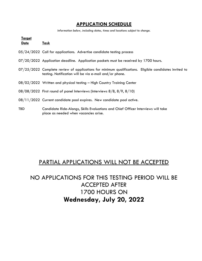# **APPLICATION SCHEDULE**

*Information below, including dates, times and locations subject to change.*

| <u>Target</u> |                                                                                                                                                                 |
|---------------|-----------------------------------------------------------------------------------------------------------------------------------------------------------------|
| <u>Date</u>   | <u>Task</u>                                                                                                                                                     |
|               | 05/24/2022 Call for applications. Advertise candidate testing process                                                                                           |
|               | 07/20/2022 Application deadline. Application packets must be received by 1700 hours.                                                                            |
|               | 07/25/2022 Complete review of applications for minimum qualifications. Eligible candidates invited to<br>testing. Notification will be via e-mail and/or phone. |
|               | 08/02/2022 Written and physical testing - High Country Training Center                                                                                          |
|               | $08/08/2022$ First round of panel Interviews (Interviews $8/8$ , $8/9$ , $8/10$ )                                                                               |
|               | 08/11/2022 Current candidate pool expires. New candidate pool active.                                                                                           |
| TBD           | Candidate Ride-Alongs, Skills Evaluations and Chief Officer Interviews will take<br>place as needed when vacancies arise.                                       |

# PARTIAL APPLICATIONS WILL NOT BE ACCEPTED

# NO APPLICATIONS FOR THIS TESTING PERIOD WILL BE ACCEPTED AFTER 1700 HOURS ON **Wednesday, July 20, 2022**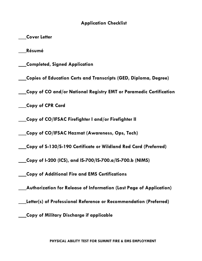## **Application Checklist**

**\_\_\_Cover Letter**

**\_\_\_Résumé**

**\_\_\_Completed, Signed Application**

**\_\_\_Copies of Education Certs and Transcripts (GED, Diploma, Degree)**

**\_\_\_Copy of CO and/or National Registry EMT or Paramedic Certification**

**\_\_\_Copy of CPR Card**

**\_\_\_Copy of CO/IFSAC Firefighter I and/or Firefighter II**

**\_\_\_Copy of CO/IFSAC Hazmat (Awareness, Ops, Tech)**

**\_\_\_Copy of S-130/S-190 Certificate or Wildland Red Card (Preferred)**

**\_\_\_Copy of I-200 (ICS), and IS-700/IS-700.a/IS-700.b (NIMS)**

**\_\_\_Copy of Additional Fire and EMS Certifications**

**\_\_\_Authorization for Release of Information (Last Page of Application)**

**\_\_\_Letter(s) of Professional Reference or Recommendation (Preferred)**

**\_\_\_Copy of Military Discharge if applicable**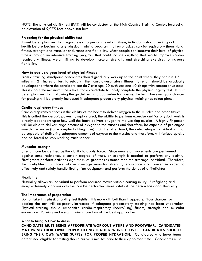NOTE: The physical ability test (PAT) will be conducted at the High Country Training Center, located at an elevation of 9,075 feet above sea level.

#### **Preparing for the physical ability test**

It must be emphasized that regardless of a person's level of fitness, individuals should be in good health before beginning any physical training program that emphasizes cardio-respiratory (heart-lung) fitness, strength and muscular endurance and flexibility. Most people can improve their level of physical fitness through an intensive training program that could include anything that would improve cardiorespiratory fitness, weight lifting to develop muscular strength, and stretching exercises to increase flexibility.

#### **How to evaluate your level of physical fitness**

From a training standpoint, candidates should gradually work up to the point where they can run 1.5 miles in 12 minutes or less to establish their cardio-respiratory fitness. Strength should be gradually developed to where the candidate can do 7 chin-ups, 20 push-ups and 40 sit-ups with comparative ease. This is about the minimum fitness level for a candidate to safely complete the physical agility test. It must be emphasized that following the guidelines is no guarantee for passing the test. However, your chances for passing will be greatly increased if adequate preparatory physical training has taken place.

#### **Cardio-respiratory fitness**

Cardio-respiratory fitness is the ability of the heart to deliver oxygen to the muscles and other tissues. This is called the aerobic power. Simply stated, the ability to perform exercise and/or physical work is directly dependent upon how well the body delivers oxygen to the working muscles. A highly fit person will be able to deliver large amount of oxygen to the muscles and therefore, be capable of prolonged muscular exercise (for example: fighting fires). On the other hand, the out-of-shape individual will not be capable of delivering adequate amounts of oxygen to the muscles and therefore, will fatigue quickly and be forced to stop working much sooner.

#### **Muscular strength**

Strength can be defined as the ability to apply force. Since nearly all movements are performed against some resistance, a certain degree of muscular strength is needed to perform any activity. Firefighters perform activities against much greater resistance than the average individual. Therefore, the firefighter must have above average muscular strength, endurance and power in order to effectively and safely handle firefighting equipment and perform the duties of a firefighter.

#### **Flexibility**

Flexibility allows an individual to perform required moves without causing injury. Firefighting and many extremely vigorous activities can be performed more safely if the person has good flexibility.

#### **The importance of preparation**

Do not take this physical ability test lightly. It is more difficult than it appears. Your chances for passing the test will be greatly increased if adequate preparatory training has been undertaken. Physical training should emphasize cardio-respiratory (heart/lung) fitness, strength and muscular endurance. Running and weight training are two of the best approaches.

#### **What to bring & How to dress**

**CANDIDATES MUST BRING APPROPRIATE WORKOUT ATTIRE AND FOOTWEAR. CANDIDATES MAY BRING THEIR OWN PROPER FITTING LEATHER WORK GLOVES. CANDIDATES SHOULD BRING THEIR OWN WATER SUPPLY FOR PROPER HYDRATION.** Candidates who have been determined eligible for testing should arrive 5 minutes prior to their appointed time. Candidates must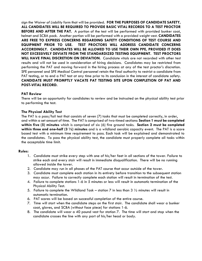sign the *Waiver of Liability* form that will be provided. **FOR THE PURPOSES OF CANDIDATE SAFETY, ALL CANDIDATES WILL BE REQUIRED TO PROVIDE BASIC VITAL RECORDS TO A TEST PROCTOR BEFORE AND AFTER THE PAT.** A portion of the test will be performed with provided bunker coat, helmet and SCBA pack. Another portion will be performed with a provided weight vest. **CANDIDATES ARE FREE TO EXPRESS CONCERNS REGARDING SAFETY CONDITIONS OF TEST COURSE AND EQUIPMENT PRIOR TO USE. TEST PROCTORS WILL ADDRESS CANDIDATE CONCERNS ACCORDINGLY. CANDIDATES WILL BE ALLOWED TO USE THEIR OWN PPE, PROVIDED IT DOES NOT EXCESSIVELY DEVIATE FROM THE STANDARDIZED TESTING EQUIPMENT. TEST PROCTORS WILL HAVE FINAL DISCRETION ON DEVIATION.** Candidate vitals are not recorded with other test results and will not be used in consideration of hiring decisions. Candidates may be restricted from performing the PAT and moving forward in the hiring process at any of the test proctor's discretion. SFE personnel and SFE Medical Control personnel retain the final authority to restrict a candidate from PAT testing, or to end a PAT test at any time prior to its conclusion in the interest of candidate safety. **CANDIDATE MUST PROMPTLY VACATE PAT TESTING SITE UPON COMPLETION OF PAT AND POST-VITAL RECORD.**

#### **PAT Review**

There will be an opportunity for candidates to review and be instructed on the physical ability test prior to performing the test.

#### **The Physical Ability Test**

The PAT is a pass/fail test that consists of seven (7) tasks that must be completed correctly, in order, and within a set amount of time. The PAT is comprised of two-timed sections: **Section 1 must be completed within five (5) minutes** which is comprised of six (6) fire ground tasks. **Section 2 must be completed within three and one-half (3 ½) minutes** and is a wildland aerobic capacity event. The PAT is a score based test with a minimum time requirement to pass. Each task will be explained and demonstrated to the candidates. To pass the physical ability test, the candidate must properly complete all tasks within the acceptable time limit.

#### **Rules:**

- 1. Candidate must strike every step with one of his/her feet in all sections of the tower. Failure to strike each and every stair will result in immediate disqualification. There will be no running allowed inside the tower.
- 2. Candidate may run in all phases of the PAT course that occur outside of the tower.
- 3. Candidate must complete each station in its entirety before transition to the subsequent station may occur. Failure to correctly complete each station will result in termination of the test.
- 4. Failure to complete stations 1-6 in 5 minutes or less will result in automatic termination of the Physical Ability Test.
- 5. Failure to complete the Wildland Task station 7 in less than 3  $\frac{1}{2}$  minutes will result in automatic termination.
- 6. PAT scores will be based on successful completion of the entire course.
- 7. Time will start when the candidate steps on the first stair. The candidate shall wear a bunker coat, gloves, and SCBA (without face piece) for stations 1-6.
- 8. The candidate will wear a 40 pound vest for station 7. The time will start and stop when the candidate crosses the line with any part of his/her head or body.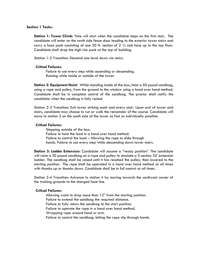#### **Section 1 Tasks:**

**Station 1: Tower Climb:** Time will start when the candidate steps on the first stair. The candidate will enter on the north side fence door leading to the exterior tower stairs and carry a hose pack consisting of one 50 ft. section of  $2\frac{1}{2}$  inch hose up to the top floor. Candidate shall drop the high rise pack at the top of building.

Station 1-2 Transition: Descend one level down via stairs.

#### **Critical Failures:**

Failure to use every step while ascending or descending. Running while inside or outside of the tower.

**Station 2: Equipment Hoist:** While standing inside of the box, hoist a 50 pound sandbag, using a rope and pulley, from the ground to the window using a hand over hand method. Candidate shall be in complete control of the sandbag. The proctor shall notify the candidate when the sandbag is fully raised.

Station 2-3 Transition: Exit tower striking each and every stair. Upon exit of tower and stairs, candidate may choose to run or walk the remainder of the course. Candidate will move to station 3 on the south side of the tower as fast as individually possible.

#### **Critical Failures:**

Stepping outside of the box. Failure to hoist the load in a hand over hand method. Failure to control the load – Allowing the rope to slide through hands. Failure to use every step while descending down tower stairs.

**Station 3: Ladder Extension:** Candidate will assume a "ready position". The candidate will raise a 30 pound sandbag on a rope and pulley to simulate a 3-section 35' extension ladder. The sandbag shall be raised until it has reached the pulley, then lowered to the starting position. The rope shall be operated in a hand over hand method at all times with thumbs up or thumbs down. Candidate shall be in full control at all times.

Station 3-4 Transition: Advance to station 4 by moving towards the southwest corner of the training grounds to the charged hose line.

#### **Critical Failures:**

Allowing waist to drop more than 12" from the starting position. Failure to extend the sandbag the required distance. Failure to fully return the sandbag to the start position. Failure to operate the rope in a hand over hand method. Wrapping rope around hand or arm. Failure to control the sandbag; letting the rope slip through hands.